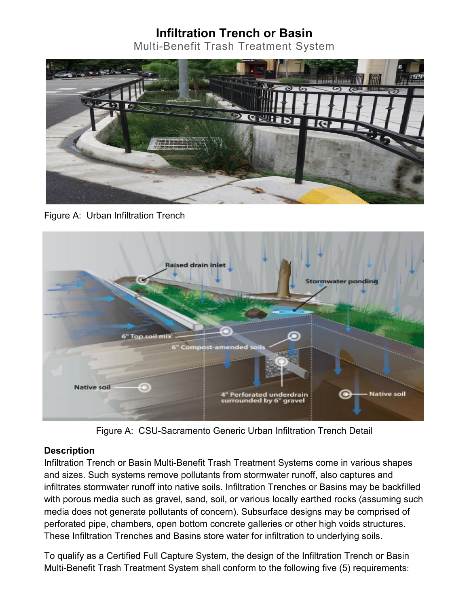## **Infiltration Trench or Basin**

Multi-Benefit Trash Treatment System



Figure A: Urban Infiltration Trench



Figure A: CSU-Sacramento Generic Urban Infiltration Trench Detail

## **Description**

Infiltration Trench or Basin Multi-Benefit Trash Treatment Systems come in various shapes and sizes. Such systems remove pollutants from stormwater runoff, also captures and infiltrates stormwater runoff into native soils. Infiltration Trenches or Basins may be backfilled with porous media such as gravel, sand, soil, or various locally earthed rocks (assuming such media does not generate pollutants of concern). Subsurface designs may be comprised of perforated pipe, chambers, open bottom concrete galleries or other high voids structures. These Infiltration Trenches and Basins store water for infiltration to underlying soils.

To qualify as a Certified Full Capture System, the design of the Infiltration Trench or Basin Multi-Benefit Trash Treatment System shall conform to the following five (5) requirements: